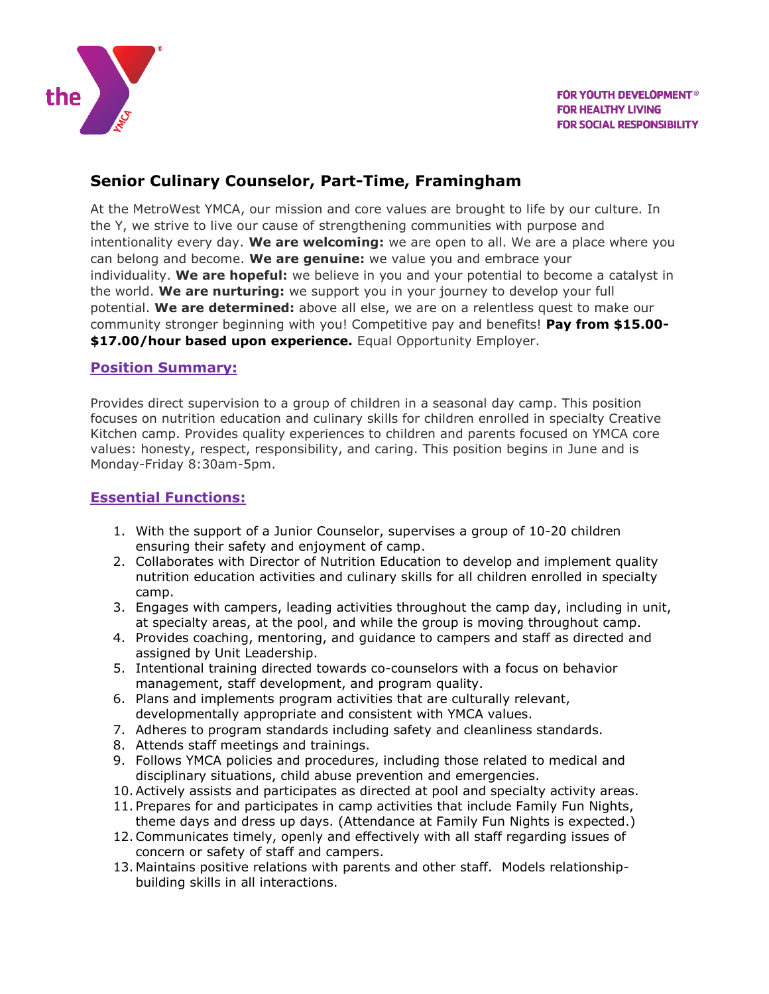

# **Senior Culinary Counselor, Part-Time, Framingham**

At the MetroWest YMCA, our mission and core values are brought to life by our culture. In the Y, we strive to live our cause of strengthening communities with purpose and intentionality every day. **We are welcoming:** we are open to all. We are a place where you can belong and become. **We are genuine:** we value you and embrace your individuality. **We are hopeful:** we believe in you and your potential to become a catalyst in the world. **We are nurturing:** we support you in your journey to develop your full potential. **We are determined:** above all else, we are on a relentless quest to make our community stronger beginning with you! Competitive pay and benefits! **Pay from \$15.00- \$17.00/hour based upon experience.** Equal Opportunity Employer.

#### **Position Summary:**

Provides direct supervision to a group of children in a seasonal day camp. This position focuses on nutrition education and culinary skills for children enrolled in specialty Creative Kitchen camp. Provides quality experiences to children and parents focused on YMCA core values: honesty, respect, responsibility, and caring. This position begins in June and is Monday-Friday 8:30am-5pm.

#### **Essential Functions:**

- 1. With the support of a Junior Counselor, supervises a group of 10-20 children ensuring their safety and enjoyment of camp.
- 2. Collaborates with Director of Nutrition Education to develop and implement quality nutrition education activities and culinary skills for all children enrolled in specialty camp.
- 3. Engages with campers, leading activities throughout the camp day, including in unit, at specialty areas, at the pool, and while the group is moving throughout camp.
- 4. Provides coaching, mentoring, and guidance to campers and staff as directed and assigned by Unit Leadership.
- 5. Intentional training directed towards co-counselors with a focus on behavior management, staff development, and program quality.
- 6. Plans and implements program activities that are culturally relevant, developmentally appropriate and consistent with YMCA values.
- 7. Adheres to program standards including safety and cleanliness standards.
- 8. Attends staff meetings and trainings.
- 9. Follows YMCA policies and procedures, including those related to medical and disciplinary situations, child abuse prevention and emergencies.
- 10.Actively assists and participates as directed at pool and specialty activity areas.
- 11. Prepares for and participates in camp activities that include Family Fun Nights, theme days and dress up days. (Attendance at Family Fun Nights is expected.)
- 12.Communicates timely, openly and effectively with all staff regarding issues of concern or safety of staff and campers.
- 13. Maintains positive relations with parents and other staff. Models relationshipbuilding skills in all interactions.